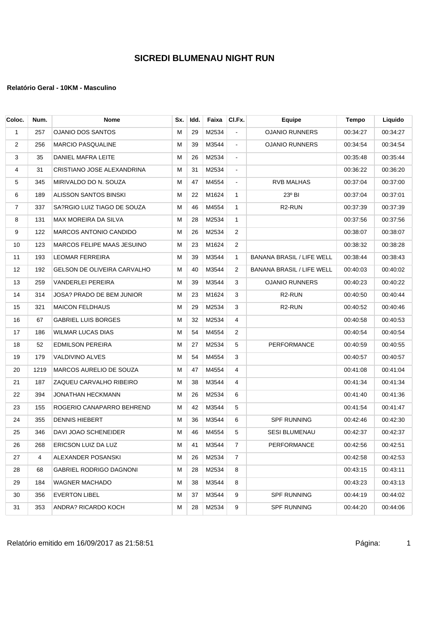| Coloc. | Num. | <b>Nome</b>                        | Sx. | Idd. | Faixa | CI.Fx.         | Equipe                           | <b>Tempo</b> | Liquido  |
|--------|------|------------------------------------|-----|------|-------|----------------|----------------------------------|--------------|----------|
| 1      | 257  | <b>OJANIO DOS SANTOS</b>           | м   | 29   | M2534 | $\blacksquare$ | <b>OJANIO RUNNERS</b>            | 00:34:27     | 00:34:27 |
| 2      | 256  | <b>MARCIO PASQUALINE</b>           | м   | 39   | M3544 | $\blacksquare$ | <b>OJANIO RUNNERS</b>            | 00:34:54     | 00:34:54 |
| 3      | 35   | DANIEL MAFRA LEITE                 | М   | 26   | M2534 | $\blacksquare$ |                                  | 00:35:48     | 00:35:44 |
| 4      | 31   | CRISTIANO JOSE ALEXANDRINA         | М   | 31   | M2534 | $\blacksquare$ |                                  | 00:36:22     | 00:36:20 |
| 5      | 345  | MIRIVALDO DO N. SOUZA              | М   | 47   | M4554 | $\blacksquare$ | <b>RVB MALHAS</b>                | 00:37:04     | 00:37:00 |
| 6      | 189  | ALISSON SANTOS BINSKI              | м   | 22   | M1624 | $\mathbf{1}$   | 23° BI                           | 00:37:04     | 00:37:01 |
| 7      | 337  | SA?RGIO LUIZ TIAGO DE SOUZA        | М   | 46   | M4554 | 1              | R <sub>2</sub> -RUN              | 00:37:39     | 00:37:39 |
| 8      | 131  | MAX MOREIRA DA SILVA               | м   | 28   | M2534 | $\mathbf{1}$   |                                  | 00:37:56     | 00:37:56 |
| 9      | 122  | <b>MARCOS ANTONIO CANDIDO</b>      | М   | 26   | M2534 | 2              |                                  | 00:38:07     | 00:38:07 |
| 10     | 123  | MARCOS FELIPE MAAS JESUINO         | М   | 23   | M1624 | 2              |                                  | 00:38:32     | 00:38:28 |
| 11     | 193  | LEOMAR FERREIRA                    | М   | 39   | M3544 | 1              | <b>BANANA BRASIL / LIFE WELL</b> | 00:38:44     | 00:38:43 |
| 12     | 192  | <b>GELSON DE OLIVEIRA CARVALHO</b> | м   | 40   | M3544 | 2              | <b>BANANA BRASIL / LIFE WELL</b> | 00:40:03     | 00:40:02 |
| 13     | 259  | VANDERLEI PEREIRA                  | М   | 39   | M3544 | 3              | <b>OJANIO RUNNERS</b>            | 00:40:23     | 00:40:22 |
| 14     | 314  | JOSA? PRADO DE BEM JUNIOR          | м   | 23   | M1624 | 3              | R <sub>2</sub> -RUN              | 00:40:50     | 00:40:44 |
| 15     | 321  | <b>MAICON FELDHAUS</b>             | М   | 29   | M2534 | 3              | R <sub>2</sub> -RUN              | 00:40:52     | 00:40:46 |
| 16     | 67   | <b>GABRIEL LUIS BORGES</b>         | М   | 32   | M2534 | 4              |                                  | 00:40:58     | 00:40:53 |
| 17     | 186  | WILMAR LUCAS DIAS                  | М   | 54   | M4554 | 2              |                                  | 00:40:54     | 00:40:54 |
| 18     | 52   | <b>EDMILSON PEREIRA</b>            | М   | 27   | M2534 | 5              | PERFORMANCE                      | 00:40:59     | 00:40:55 |
| 19     | 179  | VALDIVINO ALVES                    | М   | 54   | M4554 | 3              |                                  | 00:40:57     | 00:40:57 |
| 20     | 1219 | MARCOS AURELIO DE SOUZA            | м   | 47   | M4554 | 4              |                                  | 00:41:08     | 00:41:04 |
| 21     | 187  | ZAQUEU CARVALHO RIBEIRO            | м   | 38   | M3544 | 4              |                                  | 00:41:34     | 00:41:34 |
| 22     | 394  | JONATHAN HECKMANN                  | М   | 26   | M2534 | 6              |                                  | 00:41:40     | 00:41:36 |
| 23     | 155  | ROGERIO CANAPARRO BEHREND          | М   | 42   | M3544 | 5              |                                  | 00:41:54     | 00:41:47 |
| 24     | 355  | <b>DENNIS HIEBERT</b>              | м   | 36   | M3544 | 6              | <b>SPF RUNNING</b>               | 00:42:46     | 00:42:30 |
| 25     | 346  | DAVI JOAO SCHENEIDER               | М   | 46   | M4554 | 5              | <b>SESI BLUMENAU</b>             | 00:42:37     | 00:42:37 |
| 26     | 268  | ERICSON LUIZ DA LUZ                | M   | 41   | M3544 | $7^{\circ}$    | PERFORMANCE                      | 00:42:56     | 00:42:51 |
| 27     | 4    | ALEXANDER POSANSKI                 | Μ   | 26   | M2534 | $\overline{7}$ |                                  | 00:42:58     | 00:42:53 |
| 28     | 68   | <b>GABRIEL RODRIGO DAGNONI</b>     | М   | 28   | M2534 | 8              |                                  | 00:43:15     | 00:43:11 |
| 29     | 184  | WAGNER MACHADO                     | M   | 38   | M3544 | 8              |                                  | 00:43:23     | 00:43:13 |
| 30     | 356  | <b>EVERTON LIBEL</b>               | M   | 37   | M3544 | 9              | <b>SPF RUNNING</b>               | 00:44:19     | 00:44:02 |
| 31     | 353  | ANDRA? RICARDO KOCH                | Μ   | 28   | M2534 | 9              | SPF RUNNING                      | 00:44:20     | 00:44:06 |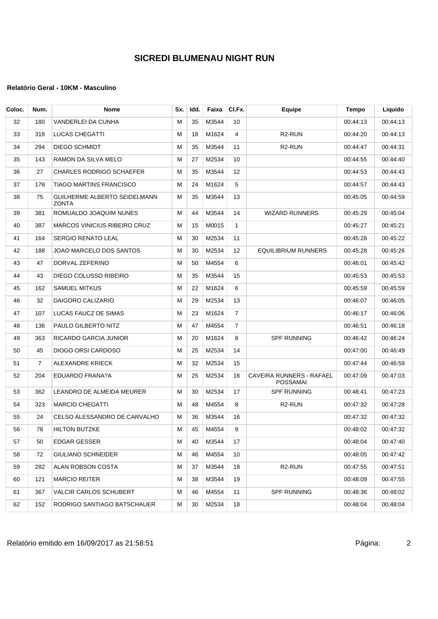| Coloc. | Num.           | <b>Nome</b>                                  | Sx. | Idd. | Faixa | CI.Fx.         | Equipe                                      | Tempo    | Liquido  |
|--------|----------------|----------------------------------------------|-----|------|-------|----------------|---------------------------------------------|----------|----------|
| 32     | 180            | VANDERLEI DA CUNHA                           | м   | 35   | M3544 | 10             |                                             | 00:44:13 | 00:44:13 |
| 33     | 318            | LUCAS CHEGATTI                               | м   | 18   | M1624 | 4              | R <sub>2</sub> -RUN                         | 00:44:20 | 00:44:13 |
| 34     | 294            | DIEGO SCHMIDT                                | M   | 35   | M3544 | 11             | R <sub>2</sub> -RUN                         | 00:44:47 | 00:44:31 |
| 35     | 143            | RAMON DA SILVA MELO                          | М   | 27   | M2534 | 10             |                                             | 00:44:55 | 00:44:40 |
| 36     | 27             | CHARLES RODRIGO SCHAEFER                     | м   | 35   | M3544 | 12             |                                             | 00:44:53 | 00:44:43 |
| 37     | 178            | TIAGO MARTINS FRANCISCO                      | м   | 24   | M1624 | 5              |                                             | 00:44:57 | 00:44:43 |
| 38     | 75             | GUILHERME ALBERTO SEIDELMANN<br><b>ZONTA</b> | м   | 35   | M3544 | 13             |                                             | 00:45:05 | 00:44:59 |
| 39     | 381            | ROMUALDO JOAQUIM NUNES                       | м   | 44   | M3544 | 14             | <b>WIZARD RUNNERS</b>                       | 00:45:29 | 00:45:04 |
| 40     | 387            | MARCOS VINICIUS RIBEIRO CRUZ                 | M   | 15   | M0015 | $\mathbf{1}$   |                                             | 00:45:27 | 00:45:21 |
| 41     | 164            | SERGIO RENATO LEAL                           | м   | 30   | M2534 | 11             |                                             | 00:45:28 | 00:45:22 |
| 42     | 188            | JOAO MARCELO DOS SANTOS                      | м   | 30   | M2534 | 12             | EQUILIBRIUM RUNNERS                         | 00:45:28 | 00:45:26 |
| 43     | 47             | DORVAL ZEFERINO                              | М   | 50   | M4554 | 6              |                                             | 00:46:01 | 00:45:42 |
| 44     | 43             | DIEGO COLUSSO RIBEIRO                        | м   | 35   | M3544 | 15             |                                             | 00:45:53 | 00:45:53 |
| 45     | 162            | <b>SAMUEL MITKUS</b>                         | м   | 22   | M1624 | 6              |                                             | 00:45:59 | 00:45:59 |
| 46     | 32             | DAIGORO CALIZARIO                            | М   | 29   | M2534 | 13             |                                             | 00:46:07 | 00:46:05 |
| 47     | 107            | LUCAS FAUCZ DE SIMAS                         | м   | 23   | M1624 | $\overline{7}$ |                                             | 00:46:17 | 00:46:06 |
| 48     | 136            | PAULO GILBERTO NITZ                          | M   | 47   | M4554 | 7              |                                             | 00.46.51 | 00:46:18 |
| 49     | 363            | RICARDO GARCIA JUNIOR                        | м   | 20   | M1624 | 8              | <b>SPF RUNNING</b>                          | 00:46:42 | 00:46:24 |
| 50     | 45             | DIOGO ORSI CARDOSO                           | м   | 25   | M2534 | 14             |                                             | 00:47:00 | 00:46:49 |
| 51     | $\overline{7}$ | ALEXANDRE KRIECK                             | M   | 32   | M2534 | 15             |                                             | 00:47:44 | 00:46:59 |
| 52     | 204            | EDUARDO FRANA?A                              | M   | 25   | M2534 | 16             | CAVEIRA RUNNERS - RAFAEL<br><b>POSSAMAI</b> | 00:47:09 | 00:47:03 |
| 53     | 362            | LEANDRO DE ALMEIDA MEURER                    | м   | 30   | M2534 | 17             | <b>SPF RUNNING</b>                          | 00:48:41 | 00:47:23 |
| 54     | 323            | <b>MARCIO CHEGATTI</b>                       | M   | 48   | M4554 | 8              | R <sub>2</sub> -RUN                         | 00:47:32 | 00:47:28 |
| 55     | 24             | CELSO ALESSANDRO DE CARVALHO                 | м   | 36   | M3544 | 16             |                                             | 00:47:32 | 00:47:32 |
| 56     | 78             | HILTON BUTZKE                                | М   | 45   | M4554 | 9              |                                             | 00:48:02 | 00:47:32 |
| 57     | 50             | EDGAR GESSER                                 | м   | 40   | M3544 | 17             |                                             | 00:48:04 | 00:47:40 |
| 58     | 72             | GIULIANO SCHNEIDER                           | м   | 46   | M4554 | 10             |                                             | 00:48:05 | 00:47:42 |
| 59     | 282            | ALAN ROBSON COSTA                            | M   | 37   | M3544 | 18             | R <sub>2</sub> -RUN                         | 00:47:55 | 00:47:51 |
| 60     | 121            | <b>MARCIO REITER</b>                         | м   | 38   | M3544 | 19             |                                             | 00:48:09 | 00:47:55 |
| 61     | 367            | VALCIR CARLOS SCHUBERT                       | м   | 46   | M4554 | 11             | <b>SPF RUNNING</b>                          | 00:48:36 | 00:48:02 |
| 62     | 152            | RODRIGO SANTIAGO BATSCHAUER                  | м   | 30   | M2534 | 18             |                                             | 00:48:04 | 00:48:04 |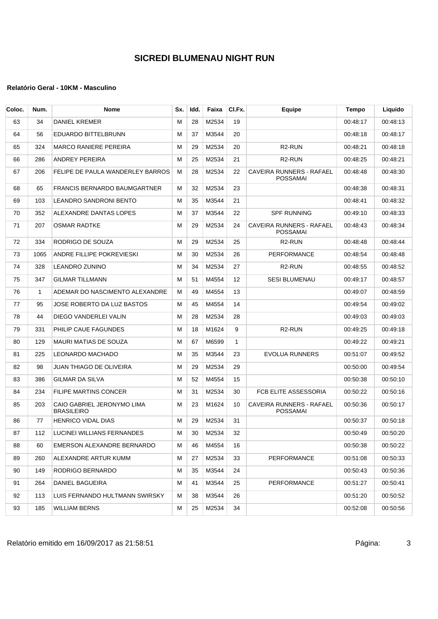| Coloc. | Num.         | <b>Nome</b>                                     | Sx. | Idd. | Faixa | CI.Fx.       | Equipe                                             | <b>Tempo</b> | Liquido  |
|--------|--------------|-------------------------------------------------|-----|------|-------|--------------|----------------------------------------------------|--------------|----------|
| 63     | 34           | <b>DANIEL KREMER</b>                            | M   | 28   | M2534 | 19           |                                                    | 00:48:17     | 00:48:13 |
| 64     | 56           | EDUARDO BITTELBRUNN                             | M   | 37   | M3544 | 20           |                                                    | 00:48:18     | 00:48:17 |
| 65     | 324          | <b>MARCO RANIERE PEREIRA</b>                    | M   | 29   | M2534 | 20           | R <sub>2</sub> -RUN                                | 00:48:21     | 00:48:18 |
| 66     | 286          | <b>ANDREY PEREIRA</b>                           | M   | 25   | M2534 | 21           | R <sub>2</sub> -RUN                                | 00:48:25     | 00:48:21 |
| 67     | 206          | FELIPE DE PAULA WANDERLEY BARROS                | М   | 28   | M2534 | 22           | <b>CAVEIRA RUNNERS - RAFAEL</b><br><b>POSSAMAI</b> | 00:48:48     | 00:48:30 |
| 68     | 65           | <b>FRANCIS BERNARDO BAUMGARTNER</b>             | М   | 32   | M2534 | 23           |                                                    | 00:48:38     | 00:48:31 |
| 69     | 103          | LEANDRO SANDRONI BENTO                          | M   | 35   | M3544 | 21           |                                                    | 00:48:41     | 00:48:32 |
| 70     | 352          | ALEXANDRE DANTAS LOPES                          | M   | 37   | M3544 | 22           | <b>SPF RUNNING</b>                                 | 00:49:10     | 00:48:33 |
| 71     | 207          | OSMAR RADTKE                                    | M   | 29   | M2534 | 24           | CAVEIRA RUNNERS - RAFAEL<br><b>POSSAMAI</b>        | 00:48:43     | 00:48:34 |
| 72     | 334          | RODRIGO DE SOUZA                                | M   | 29   | M2534 | 25           | R <sub>2</sub> -RUN                                | 00:48:48     | 00:48:44 |
| 73     | 1065         | ANDRE FILLIPE POKREVIESKI                       | M   | 30   | M2534 | 26           | PERFORMANCE                                        | 00:48:54     | 00:48:48 |
| 74     | 328          | <b>LEANDRO ZUNINO</b>                           | М   | 34   | M2534 | 27           | R <sub>2</sub> -RUN                                | 00:48:55     | 00:48:52 |
| 75     | 347          | <b>GILMAR TILLMANN</b>                          | M   | 51   | M4554 | 12           | SESI BLUMENAU                                      | 00:49:17     | 00:48:57 |
| 76     | $\mathbf{1}$ | ADEMAR DO NASCIMENTO ALEXANDRE                  | М   | 49   | M4554 | 13           |                                                    | 00:49:07     | 00:48:59 |
| 77     | 95           | JOSE ROBERTO DA LUZ BASTOS                      | м   | 45   | M4554 | 14           |                                                    | 00:49:54     | 00:49:02 |
| 78     | 44           | DIEGO VANDERLEI VALIN                           | M   | 28   | M2534 | 28           |                                                    | 00:49:03     | 00:49:03 |
| 79     | 331          | PHILIP CAUE FAGUNDES                            | М   | 18   | M1624 | 9            | R <sub>2</sub> -RUN                                | 00:49:25     | 00:49:18 |
| 80     | 129          | MAURI MATIAS DE SOUZA                           | M   | 67   | M6599 | $\mathbf{1}$ |                                                    | 00:49:22     | 00:49:21 |
| 81     | 225          | <b>LEONARDO MACHADO</b>                         | M   | 35   | M3544 | 23           | <b>EVOLUA RUNNERS</b>                              | 00:51:07     | 00:49:52 |
| 82     | 98           | JUAN THIAGO DE OLIVEIRA                         | M   | 29   | M2534 | 29           |                                                    | 00:50:00     | 00:49:54 |
| 83     | 386          | <b>GILMAR DA SILVA</b>                          | M   | 52   | M4554 | 15           |                                                    | 00:50:38     | 00:50:10 |
| 84     | 234          | <b>FILIPE MARTINS CONCER</b>                    | М   | 31   | M2534 | 30           | FCB ELITE ASSESSORIA                               | 00:50:22     | 00:50:16 |
| 85     | 203          | CAIO GABRIEL JERONYMO LIMA<br><b>BRASILEIRO</b> | M   | 23   | M1624 | 10           | CAVEIRA RUNNERS - RAFAEL<br><b>POSSAMAI</b>        | 00:50:36     | 00:50:17 |
| 86     | 77           | <b>HENRICO VIDAL DIAS</b>                       | M   | 29   | M2534 | 31           |                                                    | 00:50:37     | 00:50:18 |
| 87     | 112          | LUCINEI WILLIANS FERNANDES                      | M   | 30   | M2534 | 32           |                                                    | 00:50:49     | 00:50:20 |
| 88     | 60           | EMERSON ALEXANDRE BERNARDO                      | м   | 46   | M4554 | 16           |                                                    | 00:50:38     | 00:50:22 |
| 89     | 260          | ALEXANDRE ARTUR KUMM                            | M   | 27   | M2534 | 33           | PERFORMANCE                                        | 00:51:08     | 00:50:33 |
| 90     | 149          | RODRIGO BERNARDO                                | м   | 35   | M3544 | 24           |                                                    | 00:50:43     | 00:50:36 |
| 91     | 264          | DANIEL BAGUEIRA                                 | м   | 41   | M3544 | 25           | PERFORMANCE                                        | 00:51:27     | 00:50:41 |
| 92     | 113          | LUIS FERNANDO HULTMANN SWIRSKY                  | M   | 38   | M3544 | 26           |                                                    | 00:51:20     | 00:50:52 |
| 93     | 185          | <b>WILLIAM BERNS</b>                            | м   | 25   | M2534 | 34           |                                                    | 00:52:08     | 00:50:56 |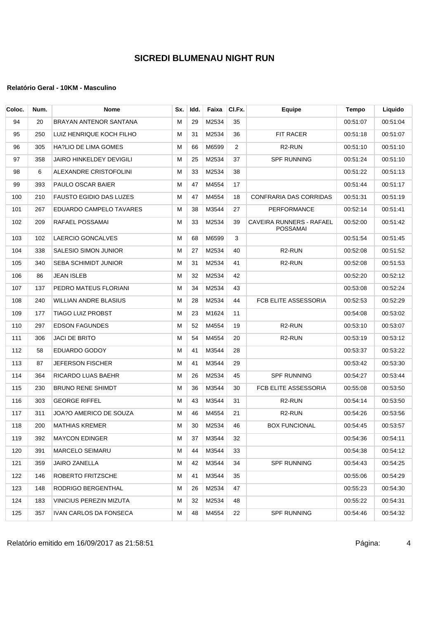#### **Relatório Geral - 10KM - Masculino**

| Coloc. | Num. | Nome                           | Sx. | Idd. | Faixa | CI.Fx. | Equipe                                      | Tempo    | Liquido  |
|--------|------|--------------------------------|-----|------|-------|--------|---------------------------------------------|----------|----------|
| 94     | 20   | BRAYAN ANTENOR SANTANA         | м   | 29   | M2534 | 35     |                                             | 00:51:07 | 00:51:04 |
| 95     | 250  | LUIZ HENRIQUE KOCH FILHO       | м   | 31   | M2534 | 36     | <b>FIT RACER</b>                            | 00:51:18 | 00:51:07 |
| 96     | 305  | HA?LIO DE LIMA GOMES           | м   | 66   | M6599 | 2      | R <sub>2</sub> -RUN                         | 00:51:10 | 00:51:10 |
| 97     | 358  | JAIRO HINKELDEY DEVIGILI       | м   | 25   | M2534 | 37     | <b>SPF RUNNING</b>                          | 00:51:24 | 00:51:10 |
| 98     | 6    | ALEXANDRE CRISTOFOLINI         | м   | 33   | M2534 | 38     |                                             | 00:51:22 | 00:51:13 |
| 99     | 393  | PAULO OSCAR BAIER              | м   | 47   | M4554 | 17     |                                             | 00:51:44 | 00:51:17 |
| 100    | 210  | <b>FAUSTO EGIDIO DAS LUZES</b> | м   | 47   | M4554 | 18     | <b>CONFRARIA DAS CORRIDAS</b>               | 00:51:31 | 00:51:19 |
| 101    | 267  | EDUARDO CAMPELO TAVARES        | м   | 38   | M3544 | 27     | PERFORMANCE                                 | 00:52:14 | 00:51:41 |
| 102    | 209  | RAFAEL POSSAMAI                | м   | 33   | M2534 | 39     | CAVEIRA RUNNERS - RAFAEL<br><b>POSSAMAI</b> | 00:52:00 | 00:51:42 |
| 103    | 102  | <b>LAERCIO GONCALVES</b>       | м   | 68   | M6599 | 3      |                                             | 00:51:54 | 00:51:45 |
| 104    | 338  | SALESIO SIMON JUNIOR           | м   | 27   | M2534 | 40     | R <sub>2</sub> -RUN                         | 00:52:08 | 00:51:52 |
| 105    | 340  | <b>SEBA SCHIMIDT JUNIOR</b>    | м   | 31   | M2534 | 41     | R <sub>2</sub> -RUN                         | 00:52:08 | 00:51:53 |
| 106    | 86   | JEAN ISLEB                     | м   | 32   | M2534 | 42     |                                             | 00:52:20 | 00:52:12 |
| 107    | 137  | PEDRO MATEUS FLORIANI          | м   | 34   | M2534 | 43     |                                             | 00:53:08 | 00:52:24 |
| 108    | 240  | WILLIAN ANDRE BLASIUS          | М   | 28   | M2534 | 44     | FCB ELITE ASSESSORIA                        | 00:52:53 | 00:52:29 |
| 109    | 177  | TIAGO LUIZ PROBST              | M   | 23   | M1624 | 11     |                                             | 00:54:08 | 00:53:02 |
| 110    | 297  | <b>EDSON FAGUNDES</b>          | M   | 52   | M4554 | 19     | R <sub>2</sub> -RUN                         | 00:53:10 | 00:53:07 |
| 111    | 306  | JACI DE BRITO                  | м   | 54   | M4554 | 20     | R <sub>2</sub> -RUN                         | 00:53:19 | 00:53:12 |
| 112    | 58   | EDUARDO GODOY                  | M   | 41   | M3544 | 28     |                                             | 00:53:37 | 00:53:22 |
| 113    | 87   | JEFERSON FISCHER               | м   | 41   | M3544 | 29     |                                             | 00:53:42 | 00:53:30 |
| 114    | 364  | RICARDO LUAS BAEHR             | M   | 26   | M2534 | 45     | SPF RUNNING                                 | 00:54:27 | 00:53:44 |
| 115    | 230  | BRUNO RENE SHIMDT              | М   | 36   | M3544 | 30     | FCB ELITE ASSESSORIA                        | 00:55:08 | 00:53:50 |
| 116    | 303  | <b>GEORGE RIFFEL</b>           | м   | 43   | M3544 | 31     | R <sub>2</sub> -RUN                         | 00:54:14 | 00:53:50 |
| 117    | 311  | JOA?O AMERICO DE SOUZA         | М   | 46   | M4554 | 21     | R <sub>2</sub> -RUN                         | 00:54:26 | 00:53:56 |
| 118    | 200  | <b>MATHIAS KREMER</b>          | М   | 30   | M2534 | 46     | <b>BOX FUNCIONAL</b>                        | 00:54:45 | 00:53:57 |
| 119    | 392  | <b>MAYCON EDINGER</b>          | м   | 37   | M3544 | 32     |                                             | 00:54:36 | 00:54:11 |
| 120    | 391  | MARCELO SEIMARU                | М   | 44   | M3544 | 33     |                                             | 00:54:38 | 00:54:12 |
| 121    | 359  | JAIRO ZANELLA                  | м   | 42   | M3544 | 34     | <b>SPF RUNNING</b>                          | 00:54:43 | 00:54:25 |
| 122    | 146  | ROBERTO FRITZSCHE              | м   | 41   | M3544 | 35     |                                             | 00:55:06 | 00:54:29 |
| 123    | 148  | RODRIGO BERGENTHAL             | М   | 26   | M2534 | 47     |                                             | 00:55:23 | 00:54:30 |
| 124    | 183  | VINICIUS PEREZIN MIZUTA        | м   | 32   | M2534 | 48     |                                             | 00:55:22 | 00:54:31 |
| 125    | 357  | IVAN CARLOS DA FONSECA         | м   | 48   | M4554 | 22     | <b>SPF RUNNING</b>                          | 00:54:46 | 00:54:32 |

Relatório emitido em 16/09/2017 as 21:58:51 Página: 4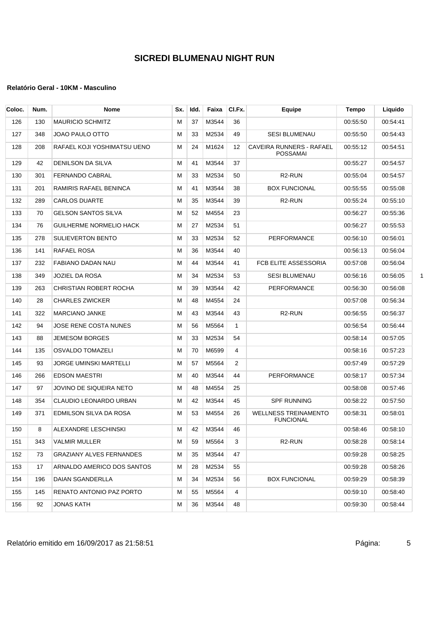| Coloc. | Num. | <b>Nome</b>                    | Sx. | ldd. | Faixa | CI.Fx.         | Equipe                                          | Tempo    | Liquido  |
|--------|------|--------------------------------|-----|------|-------|----------------|-------------------------------------------------|----------|----------|
| 126    | 130  | <b>MAURICIO SCHMITZ</b>        | м   | 37   | M3544 | 36             |                                                 | 00:55:50 | 00:54:41 |
| 127    | 348  | JOAO PAULO OTTO                | м   | 33   | M2534 | 49             | <b>SESI BLUMENAU</b>                            | 00:55:50 | 00:54:43 |
| 128    | 208  | RAFAEL KOJI YOSHIMATSU UENO    | м   | 24   | M1624 | 12             | CAVEIRA RUNNERS - RAFAEL<br>POSSAMAI            | 00:55:12 | 00:54:51 |
| 129    | 42   | DENILSON DA SILVA              | м   | 41   | M3544 | 37             |                                                 | 00:55:27 | 00:54:57 |
| 130    | 301  | <b>FERNANDO CABRAL</b>         | м   | 33   | M2534 | 50             | R <sub>2</sub> -RUN                             | 00:55:04 | 00:54:57 |
| 131    | 201  | RAMIRIS RAFAEL BENINCA         | м   | 41   | M3544 | 38             | <b>BOX FUNCIONAL</b>                            | 00:55:55 | 00:55:08 |
| 132    | 289  | <b>CARLOS DUARTE</b>           | м   | 35   | M3544 | 39             | R <sub>2</sub> -RUN                             | 00:55:24 | 00:55:10 |
| 133    | 70   | <b>GELSON SANTOS SILVA</b>     | м   | 52   | M4554 | 23             |                                                 | 00:56:27 | 00:55:36 |
| 134    | 76   | <b>GUILHERME NORMELIO HACK</b> | м   | 27   | M2534 | 51             |                                                 | 00:56:27 | 00:55:53 |
| 135    | 278  | <b>SULIEVERTON BENTO</b>       | м   | 33   | M2534 | 52             | PERFORMANCE                                     | 00:56:10 | 00.56:01 |
| 136    | 141  | RAFAEL ROSA                    | м   | 36   | M3544 | 40             |                                                 | 00:56:13 | 00:56:04 |
| 137    | 232  | <b>FABIANO DADAN NAU</b>       | м   | 44   | M3544 | 41             | FCB ELITE ASSESSORIA                            | 00:57:08 | 00:56:04 |
| 138    | 349  | JOZIEL DA ROSA                 | м   | 34   | M2534 | 53             | <b>SESI BLUMENAU</b>                            | 00:56:16 | 00:56:05 |
| 139    | 263  | CHRISTIAN ROBERT ROCHA         | м   | 39   | M3544 | 42             | <b>PERFORMANCE</b>                              | 00:56:30 | 00:56:08 |
| 140    | 28   | <b>CHARLES ZWICKER</b>         | м   | 48   | M4554 | 24             |                                                 | 00:57:08 | 00:56:34 |
| 141    | 322  | <b>MARCIANO JANKE</b>          | м   | 43   | M3544 | 43             | R <sub>2</sub> -RUN                             | 00:56:55 | 00:56:37 |
| 142    | 94   | JOSE RENE COSTA NUNES          | м   | 56   | M5564 | $\mathbf{1}$   |                                                 | 00:56:54 | 00:56:44 |
| 143    | 88   | <b>JEMESOM BORGES</b>          | м   | 33   | M2534 | 54             |                                                 | 00:58:14 | 00:57:05 |
| 144    | 135  | <b>OSVALDO TOMAZELI</b>        | м   | 70   | M6599 | 4              |                                                 | 00:58:16 | 00:57:23 |
| 145    | 93   | JORGE UMINSKI MARTELLI         | м   | 57   | M5564 | $\overline{2}$ |                                                 | 00:57:49 | 00:57:29 |
| 146    | 266  | <b>EDSON MAESTRI</b>           | м   | 40   | M3544 | 44             | PERFORMANCE                                     | 00:58:17 | 00:57:34 |
| 147    | 97   | JOVINO DE SIQUEIRA NETO        | м   | 48   | M4554 | 25             |                                                 | 00:58:08 | 00:57:46 |
| 148    | 354  | CLAUDIO LEONARDO URBAN         | м   | 42   | M3544 | 45             | <b>SPF RUNNING</b>                              | 00:58:22 | 00:57:50 |
| 149    | 371  | EDMILSON SILVA DA ROSA         | м   | 53   | M4554 | 26             | <b>WELLNESS TREINAMENTO</b><br><b>FUNCIONAL</b> | 00:58:31 | 00:58:01 |
| 150    | 8    | ALEXANDRE LESCHINSKI           | м   | 42   | M3544 | 46             |                                                 | 00:58:46 | 00:58:10 |
| 151    | 343  | VALMIR MULLER                  | м   | 59   | M5564 | 3              | R <sub>2</sub> -RUN                             | 00:58:28 | 00:58:14 |
| 152    | 73   | GRAZIANY ALVES FERNANDES       | м   | 35   | M3544 | 47             |                                                 | 00:59:28 | 00:58:25 |
| 153    | 17   | ARNALDO AMERICO DOS SANTOS     | M   | 28   | M2534 | 55             |                                                 | 00:59:28 | 00:58:26 |
| 154    | 196  | DAIAN SGANDERLLA               | м   | 34   | M2534 | 56             | <b>BOX FUNCIONAL</b>                            | 00:59:29 | 00:58:39 |
| 155    | 145  | RENATO ANTONIO PAZ PORTO       | м   | 55   | M5564 | 4              |                                                 | 00:59:10 | 00:58:40 |
| 156    | 92   | <b>JONAS KATH</b>              | м   | 36   | M3544 | 48             |                                                 | 00:59:30 | 00:58:44 |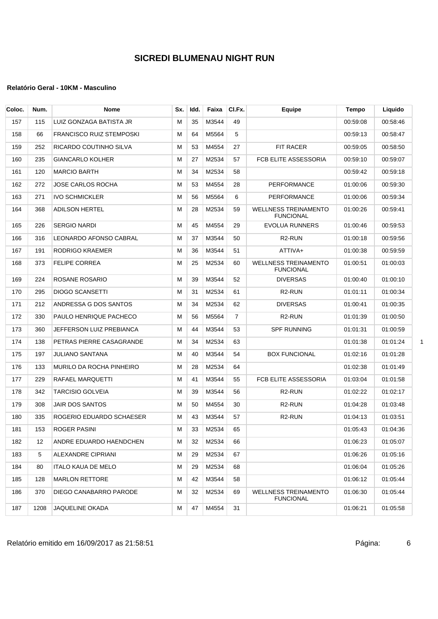| Coloc. | Num. | <b>Nome</b>                     | Sx. | Idd. | Faixa | CI.Fx.         | Equipe                                          | Tempo    | Liquido  |
|--------|------|---------------------------------|-----|------|-------|----------------|-------------------------------------------------|----------|----------|
| 157    | 115  | LUIZ GONZAGA BATISTA JR         | м   | 35   | M3544 | 49             |                                                 | 00:59:08 | 00:58:46 |
| 158    | 66   | <b>FRANCISCO RUIZ STEMPOSKI</b> | м   | 64   | M5564 | 5              |                                                 | 00:59:13 | 00:58:47 |
| 159    | 252  | RICARDO COUTINHO SILVA          | м   | 53   | M4554 | 27             | <b>FIT RACER</b>                                | 00:59:05 | 00:58:50 |
| 160    | 235  | <b>GIANCARLO KOLHER</b>         | м   | 27   | M2534 | 57             | FCB ELITE ASSESSORIA                            | 00:59:10 | 00:59:07 |
| 161    | 120  | <b>MARCIO BARTH</b>             | м   | 34   | M2534 | 58             |                                                 | 00:59:42 | 00:59:18 |
| 162    | 272  | <b>JOSE CARLOS ROCHA</b>        | м   | 53   | M4554 | 28             | <b>PERFORMANCE</b>                              | 01:00:06 | 00:59:30 |
| 163    | 271  | <b>IVO SCHMICKLER</b>           | м   | 56   | M5564 | 6              | PERFORMANCE                                     | 01:00:06 | 00:59:34 |
| 164    | 368  | <b>ADILSON HERTEL</b>           | M   | 28   | M2534 | 59             | <b>WELLNESS TREINAMENTO</b><br><b>FUNCIONAL</b> | 01:00:26 | 00 59:41 |
| 165    | 226  | <b>SERGIO NARDI</b>             | м   | 45   | M4554 | 29             | <b>EVOLUA RUNNERS</b>                           | 01:00:46 | 00:59:53 |
| 166    | 316  | LEONARDO AFONSO CABRAL          | M   | 37   | M3544 | 50             | R <sub>2</sub> -RUN                             | 01:00:18 | 00:59:56 |
| 167    | 191  | RODRIGO KRAEMER                 | м   | 36   | M3544 | 51             | ATTIVA+                                         | 01:00:38 | 00:59:59 |
| 168    | 373  | <b>FELIPE CORREA</b>            | м   | 25   | M2534 | 60             | <b>WELLNESS TREINAMENTO</b><br><b>FUNCIONAL</b> | 01:00:51 | 01:00:03 |
| 169    | 224  | ROSANE ROSARIO                  | м   | 39   | M3544 | 52             | <b>DIVERSAS</b>                                 | 01:00:40 | 01:00:10 |
| 170    | 295  | <b>DIOGO SCANSETTI</b>          | м   | 31   | M2534 | 61             | R <sub>2</sub> -RUN                             | 01:01:11 | 01:00:34 |
| 171    | 212  | ANDRESSA G DOS SANTOS           | м   | 34   | M2534 | 62             | <b>DIVERSAS</b>                                 | 01:00:41 | 01:00:35 |
| 172    | 330  | PAULO HENRIQUE PACHECO          | м   | 56   | M5564 | $\overline{7}$ | R <sub>2</sub> -RUN                             | 01:01:39 | 01:00:50 |
| 173    | 360  | JEFFERSON LUIZ PREBIANCA        | м   | 44   | M3544 | 53             | <b>SPF RUNNING</b>                              | 01:01:31 | 01:00:59 |
| 174    | 138  | PETRAS PIERRE CASAGRANDE        | м   | 34   | M2534 | 63             |                                                 | 01:01:38 | 01:01:24 |
| 175    | 197  | <b>JULIANO SANTANA</b>          | м   | 40   | M3544 | 54             | <b>BOX FUNCIONAL</b>                            | 01:02:16 | 01:01:28 |
| 176    | 133  | MURILO DA ROCHA PINHEIRO        | м   | 28   | M2534 | 64             |                                                 | 01:02:38 | 01:01:49 |
| 177    | 229  | RAFAEL MARQUETTI                | м   | 41   | M3544 | 55             | FCB ELITE ASSESSORIA                            | 01:03:04 | 01:01:58 |
| 178    | 342  | <b>TARCISIO GOLVEIA</b>         | м   | 39   | M3544 | 56             | R <sub>2</sub> -RUN                             | 01:02:22 | 01:02:17 |
| 179    | 308  | JAIR DOS SANTOS                 | м   | 50   | M4554 | 30             | R <sub>2</sub> -RUN                             | 01:04:28 | 01:03:48 |
| 180    | 335  | ROGERIO EDUARDO SCHAESER        | м   | 43   | M3544 | 57             | R <sub>2</sub> -RUN                             | 01:04:13 | 01:03:51 |
| 181    | 153  | ROGER PASINI                    | м   | 33   | M2534 | 65             |                                                 | 01:05:43 | 01:04:36 |
| 182    | 12   | ANDRE EDUARDO HAENDCHEN         | м   | 32   | M2534 | 66             |                                                 | 01:06:23 | 01:05:07 |
| 183    | 5    | ALEXANDRE CIPRIANI              | М   | 29   | M2534 | 67             |                                                 | 01:06:26 | 01:05:16 |
| 184    | 80   | ITALO KAUA DE MELO              | м   | 29   | M2534 | 68             |                                                 | 01:06:04 | 01:05:26 |
| 185    | 128  | <b>MARLON RETTORE</b>           | м   | 42   | M3544 | 58             |                                                 | 01:06:12 | 01:05:44 |
| 186    | 370  | DIEGO CANABARRO PARODE          | м   | 32   | M2534 | 69             | <b>WELLNESS TREINAMENTO</b><br><b>FUNCIONAL</b> | 01:06:30 | 01:05:44 |
| 187    | 1208 | JAQUELINE OKADA                 | м   | 47   | M4554 | 31             |                                                 | 01:06:21 | 01:05:58 |